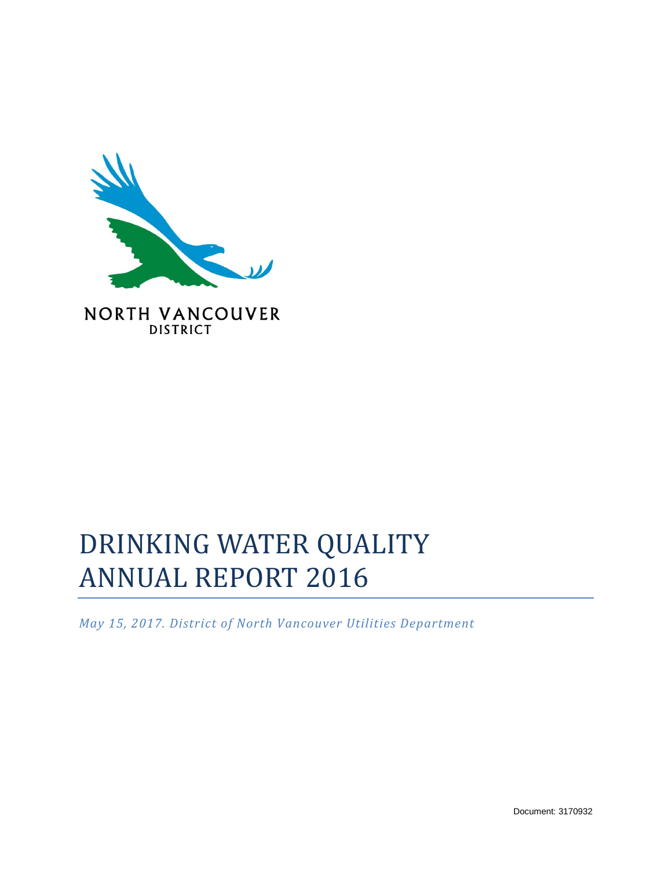

**NORTH VANCOUVER DISTRICT** 

# DRINKING WATER QUALITY ANNUAL REPORT 2016

*May 15, 2017. District of North Vancouver Utilities Department*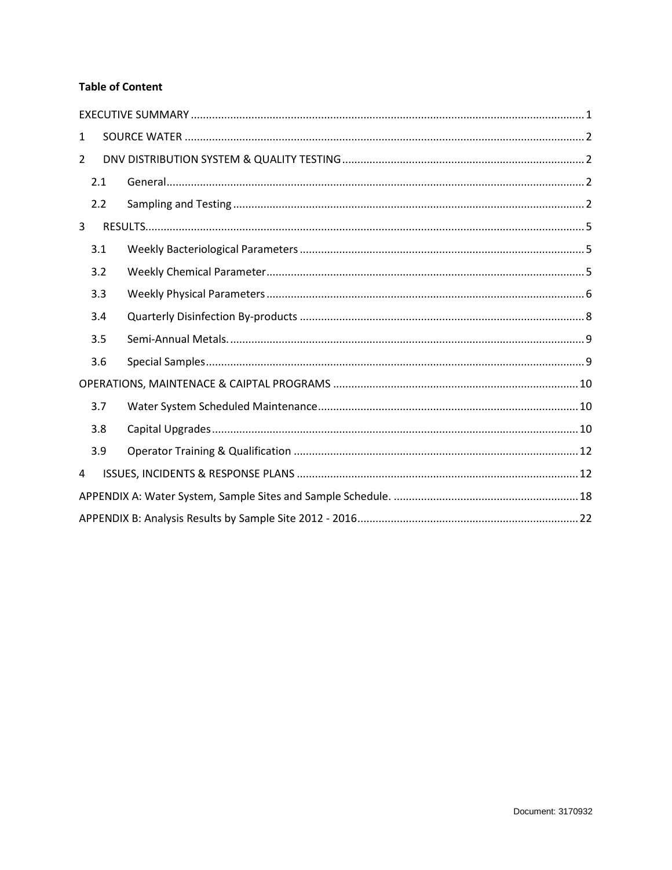#### **Table of Content**

| $\mathbf{1}$ |     |  |  |  |  |  |  |  |  |
|--------------|-----|--|--|--|--|--|--|--|--|
| 2            |     |  |  |  |  |  |  |  |  |
|              | 2.1 |  |  |  |  |  |  |  |  |
|              | 2.2 |  |  |  |  |  |  |  |  |
| 3            |     |  |  |  |  |  |  |  |  |
|              | 3.1 |  |  |  |  |  |  |  |  |
|              | 3.2 |  |  |  |  |  |  |  |  |
|              | 3.3 |  |  |  |  |  |  |  |  |
|              | 3.4 |  |  |  |  |  |  |  |  |
|              | 3.5 |  |  |  |  |  |  |  |  |
|              | 3.6 |  |  |  |  |  |  |  |  |
|              |     |  |  |  |  |  |  |  |  |
|              | 3.7 |  |  |  |  |  |  |  |  |
|              | 3.8 |  |  |  |  |  |  |  |  |
|              | 3.9 |  |  |  |  |  |  |  |  |
| 4            |     |  |  |  |  |  |  |  |  |
|              |     |  |  |  |  |  |  |  |  |
|              |     |  |  |  |  |  |  |  |  |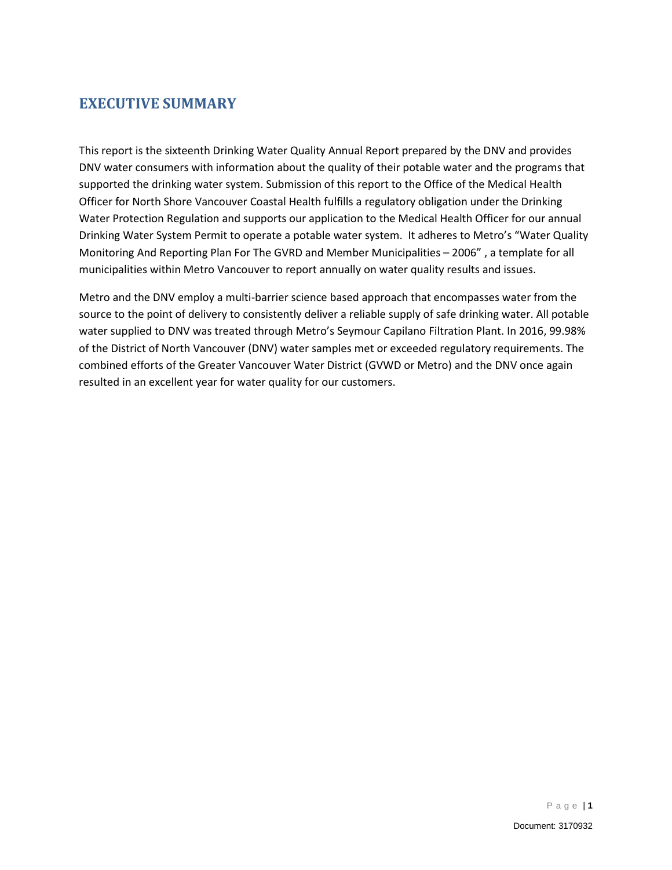#### <span id="page-2-0"></span>**EXECUTIVE SUMMARY**

This report is the sixteenth Drinking Water Quality Annual Report prepared by the DNV and provides DNV water consumers with information about the quality of their potable water and the programs that supported the drinking water system. Submission of this report to the Office of the Medical Health Officer for North Shore Vancouver Coastal Health fulfills a regulatory obligation under the Drinking Water Protection Regulation and supports our application to the Medical Health Officer for our annual Drinking Water System Permit to operate a potable water system. It adheres to Metro's "Water Quality Monitoring And Reporting Plan For The GVRD and Member Municipalities – 2006" , a template for all municipalities within Metro Vancouver to report annually on water quality results and issues.

Metro and the DNV employ a multi-barrier science based approach that encompasses water from the source to the point of delivery to consistently deliver a reliable supply of safe drinking water. All potable water supplied to DNV was treated through Metro's Seymour Capilano Filtration Plant. In 2016, 99.98% of the District of North Vancouver (DNV) water samples met or exceeded regulatory requirements. The combined efforts of the Greater Vancouver Water District (GVWD or Metro) and the DNV once again resulted in an excellent year for water quality for our customers.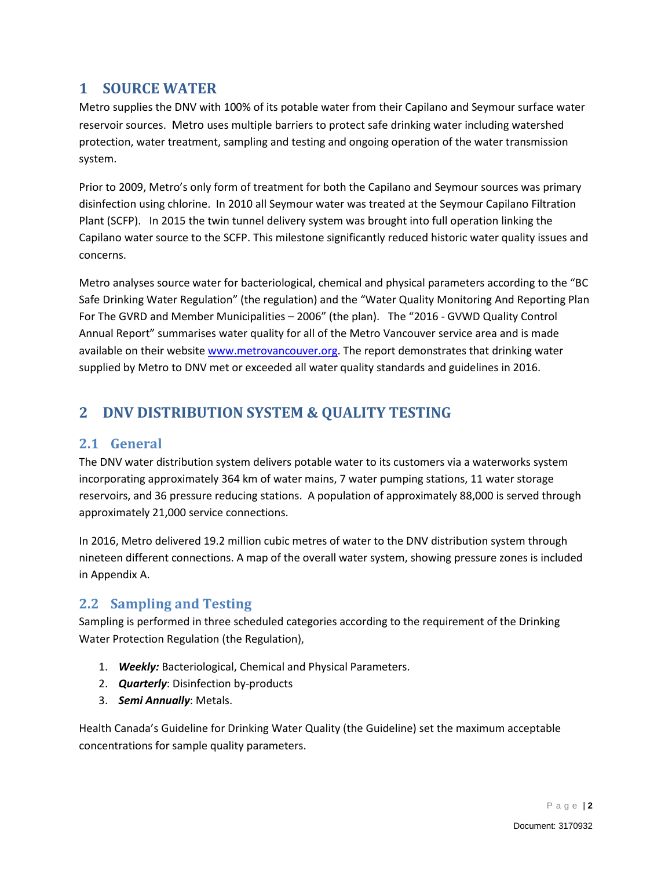#### <span id="page-3-0"></span>**1 SOURCE WATER**

Metro supplies the DNV with 100% of its potable water from their Capilano and Seymour surface water reservoir sources. Metro uses multiple barriers to protect safe drinking water including watershed protection, water treatment, sampling and testing and ongoing operation of the water transmission system.

Prior to 2009, Metro's only form of treatment for both the Capilano and Seymour sources was primary disinfection using chlorine. In 2010 all Seymour water was treated at the Seymour Capilano Filtration Plant (SCFP). In 2015 the twin tunnel delivery system was brought into full operation linking the Capilano water source to the SCFP. This milestone significantly reduced historic water quality issues and concerns.

Metro analyses source water for bacteriological, chemical and physical parameters according to the "BC Safe Drinking Water Regulation" (the regulation) and the "Water Quality Monitoring And Reporting Plan For The GVRD and Member Municipalities – 2006" (the plan). The "2016 - GVWD Quality Control Annual Report" summarises water quality for all of the Metro Vancouver service area and is made available on their website [www.metrovancouver.org.](http://www.metrovancouver.org/) The report demonstrates that drinking water supplied by Metro to DNV met or exceeded all water quality standards and guidelines in 2016.

# <span id="page-3-1"></span>**2 DNV DISTRIBUTION SYSTEM & QUALITY TESTING**

#### <span id="page-3-2"></span>**2.1 General**

The DNV water distribution system delivers potable water to its customers via a waterworks system incorporating approximately 364 km of water mains, 7 water pumping stations, 11 water storage reservoirs, and 36 pressure reducing stations. A population of approximately 88,000 is served through approximately 21,000 service connections.

In 2016, Metro delivered 19.2 million cubic metres of water to the DNV distribution system through nineteen different connections. A map of the overall water system, showing pressure zones is included in Appendix A.

#### <span id="page-3-3"></span>**2.2 Sampling and Testing**

Sampling is performed in three scheduled categories according to the requirement of the Drinking Water Protection Regulation (the Regulation),

- 1. *Weekly:* Bacteriological, Chemical and Physical Parameters.
- 2. *Quarterly*: Disinfection by-products
- 3. *Semi Annually*: Metals.

Health Canada's Guideline for Drinking Water Quality (the Guideline) set the maximum acceptable concentrations for sample quality parameters.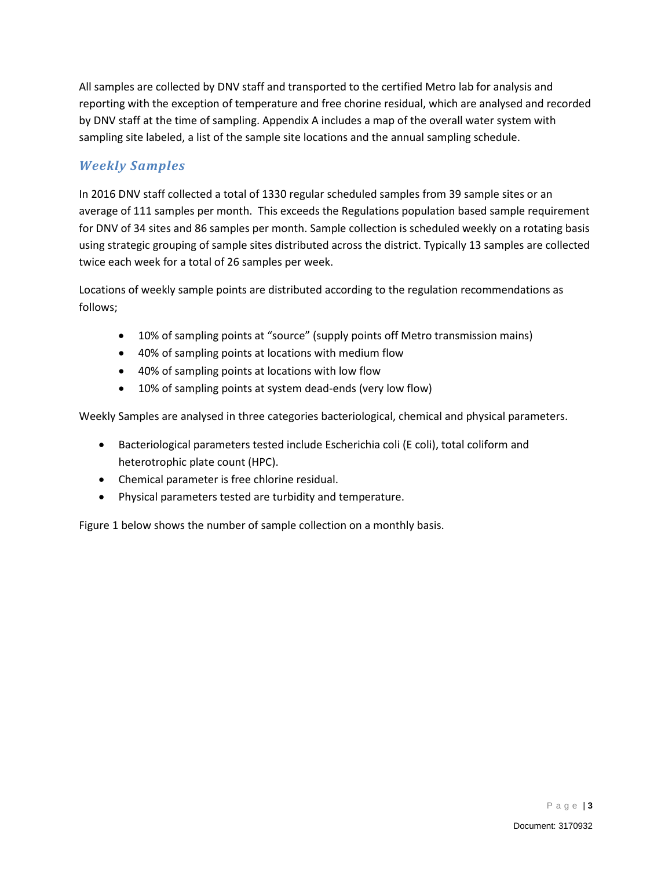All samples are collected by DNV staff and transported to the certified Metro lab for analysis and reporting with the exception of temperature and free chorine residual, which are analysed and recorded by DNV staff at the time of sampling. Appendix A includes a map of the overall water system with sampling site labeled, a list of the sample site locations and the annual sampling schedule.

#### *Weekly Samples*

In 2016 DNV staff collected a total of 1330 regular scheduled samples from 39 sample sites or an average of 111 samples per month. This exceeds the Regulations population based sample requirement for DNV of 34 sites and 86 samples per month. Sample collection is scheduled weekly on a rotating basis using strategic grouping of sample sites distributed across the district. Typically 13 samples are collected twice each week for a total of 26 samples per week.

Locations of weekly sample points are distributed according to the regulation recommendations as follows;

- 10% of sampling points at "source" (supply points off Metro transmission mains)
- 40% of sampling points at locations with medium flow
- 40% of sampling points at locations with low flow
- 10% of sampling points at system dead-ends (very low flow)

Weekly Samples are analysed in three categories bacteriological, chemical and physical parameters.

- Bacteriological parameters tested include Escherichia coli (E coli), total coliform and heterotrophic plate count (HPC).
- Chemical parameter is free chlorine residual.
- Physical parameters tested are turbidity and temperature.

Figure 1 below shows the number of sample collection on a monthly basis.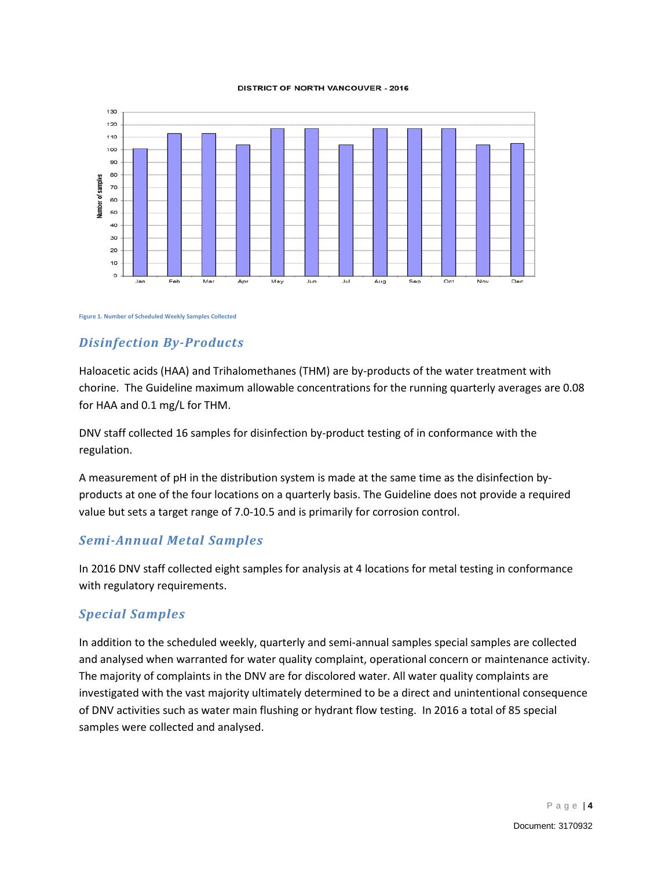#### **DISTRICT OF NORTH VANCOUVER - 2016**



#### **Figure 1. Number of Scheduled Weekly Samples Collected**

#### *Disinfection By-Products*

Haloacetic acids (HAA) and Trihalomethanes (THM) are by-products of the water treatment with chorine. The Guideline maximum allowable concentrations for the running quarterly averages are 0.08 for HAA and 0.1 mg/L for THM.

DNV staff collected 16 samples for disinfection by-product testing of in conformance with the regulation.

A measurement of pH in the distribution system is made at the same time as the disinfection byproducts at one of the four locations on a quarterly basis. The Guideline does not provide a required value but sets a target range of 7.0-10.5 and is primarily for corrosion control.

#### *Semi-Annual Metal Samples*

In 2016 DNV staff collected eight samples for analysis at 4 locations for metal testing in conformance with regulatory requirements.

#### *Special Samples*

In addition to the scheduled weekly, quarterly and semi-annual samples special samples are collected and analysed when warranted for water quality complaint, operational concern or maintenance activity. The majority of complaints in the DNV are for discolored water. All water quality complaints are investigated with the vast majority ultimately determined to be a direct and unintentional consequence of DNV activities such as water main flushing or hydrant flow testing. In 2016 a total of 85 special samples were collected and analysed.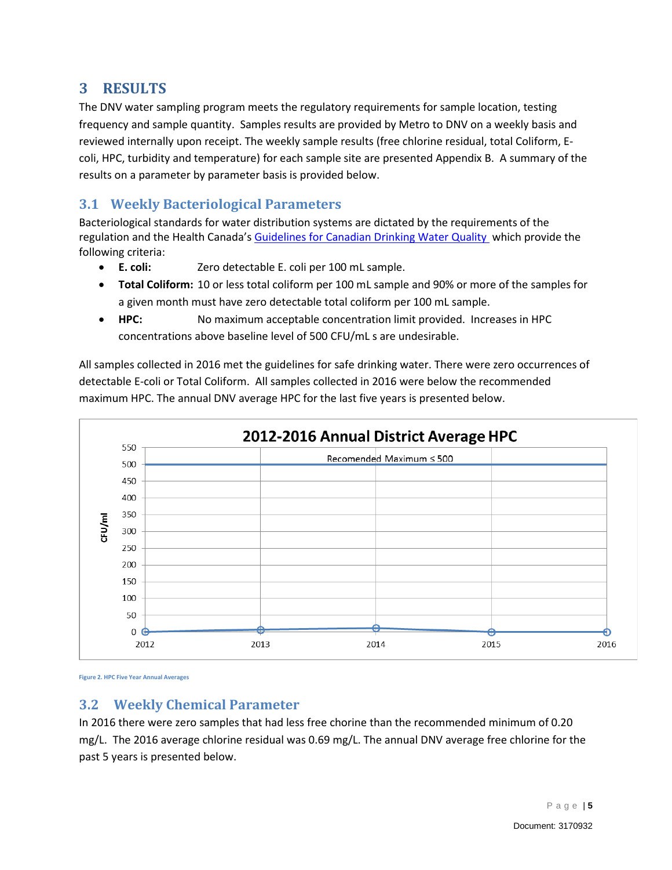#### <span id="page-6-0"></span>**3 RESULTS**

The DNV water sampling program meets the regulatory requirements for sample location, testing frequency and sample quantity. Samples results are provided by Metro to DNV on a weekly basis and reviewed internally upon receipt. The weekly sample results (free chlorine residual, total Coliform, Ecoli, HPC, turbidity and temperature) for each sample site are presented Appendix B. A summary of the results on a parameter by parameter basis is provided below.

#### <span id="page-6-1"></span>**3.1 Weekly Bacteriological Parameters**

Bacteriological standards for water distribution systems are dictated by the requirements of the regulation and the Health Canada's [Guidelines for Canadian Drinking Water](http://www.hc-sc.gc.ca/ewh-semt/pubs/water-eau/index-eng.php) Quality which provide the following criteria:

- **E. coli:** Zero detectable E. coli per 100 mL sample.
- **Total Coliform:** 10 or less total coliform per 100 mL sample and 90% or more of the samples for a given month must have zero detectable total coliform per 100 mL sample.
- **HPC:** No maximum acceptable concentration limit provided. Increases in HPC concentrations above baseline level of 500 CFU/mL s are undesirable.

All samples collected in 2016 met the guidelines for safe drinking water. There were zero occurrences of detectable E-coli or Total Coliform. All samples collected in 2016 were below the recommended maximum HPC. The annual DNV average HPC for the last five years is presented below.



**Figure 2. HPC Five Year Annual Averages**

#### <span id="page-6-2"></span>**3.2 Weekly Chemical Parameter**

In 2016 there were zero samples that had less free chorine than the recommended minimum of 0.20 mg/L. The 2016 average chlorine residual was 0.69 mg/L. The annual DNV average free chlorine for the past 5 years is presented below.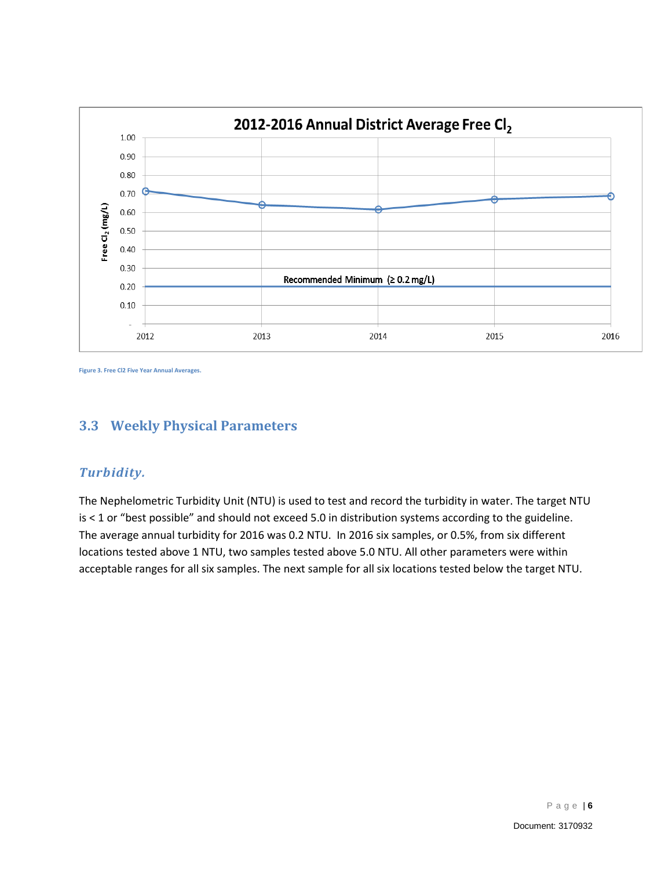

**Figure 3. Free Cl2 Five Year Annual Averages.**

## <span id="page-7-0"></span>**3.3 Weekly Physical Parameters**

#### *Turbidity.*

The Nephelometric Turbidity Unit (NTU) is used to test and record the turbidity in water. The target NTU is < 1 or "best possible" and should not exceed 5.0 in distribution systems according to the guideline. The average annual turbidity for 2016 was 0.2 NTU. In 2016 six samples, or 0.5%, from six different locations tested above 1 NTU, two samples tested above 5.0 NTU. All other parameters were within acceptable ranges for all six samples. The next sample for all six locations tested below the target NTU.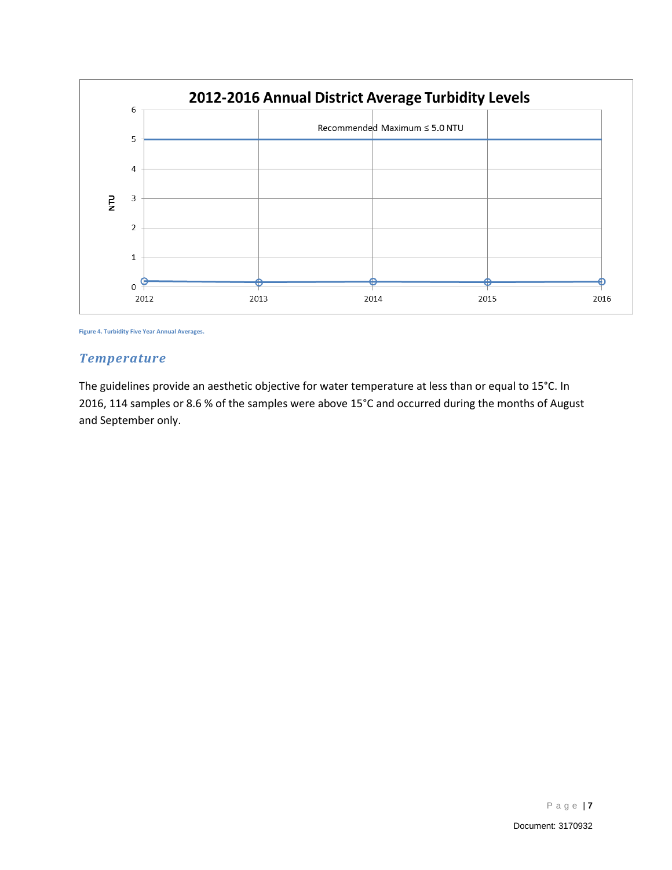

**Figure 4. Turbidity Five Year Annual Averages.**

#### *Temperature*

The guidelines provide an aesthetic objective for water temperature at less than or equal to 15°C. In 2016, 114 samples or 8.6 % of the samples were above 15°C and occurred during the months of August and September only.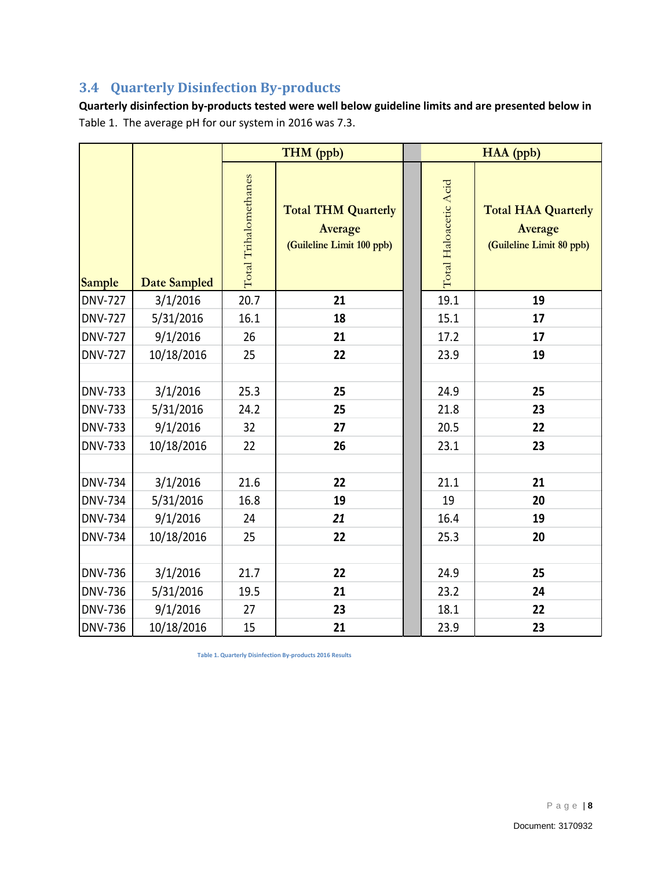## <span id="page-9-0"></span>**3.4 Quarterly Disinfection By-products**

**Quarterly disinfection by-products tested were well below guideline limits and are presented below in** Table 1. The average pH for our system in 2016 was 7.3.

|                                                    |                                   |                       | THM (ppb)                                                          |                       | HAA (ppb)                                                         |
|----------------------------------------------------|-----------------------------------|-----------------------|--------------------------------------------------------------------|-----------------------|-------------------------------------------------------------------|
| <b>Sample</b>                                      | Date Sampled                      | Total Trihalomethanes | <b>Total THM Quarterly</b><br>Average<br>(Guileline Limit 100 ppb) | Total Haloacetic Acid | <b>Total HAA Quarterly</b><br>Average<br>(Guileline Limit 80 ppb) |
| <b>DNV-727</b>                                     | 3/1/2016                          | 20.7                  | 21                                                                 | 19.1                  | 19                                                                |
| <b>DNV-727</b>                                     | 5/31/2016                         | 16.1                  | 18                                                                 | 15.1                  | 17                                                                |
| <b>DNV-727</b>                                     | 9/1/2016                          | 26                    | 21                                                                 | 17.2                  | 17                                                                |
| <b>DNV-727</b>                                     | 10/18/2016                        | 25                    | 22                                                                 | 23.9                  | 19                                                                |
| <b>DNV-733</b><br><b>DNV-733</b><br><b>DNV-733</b> | 3/1/2016<br>5/31/2016<br>9/1/2016 | 25.3<br>24.2<br>32    | 25<br>25<br>27                                                     | 24.9<br>21.8<br>20.5  | 25<br>23<br>22                                                    |
| <b>DNV-733</b>                                     | 10/18/2016                        | 22                    | 26                                                                 | 23.1                  | 23                                                                |
| <b>DNV-734</b><br><b>DNV-734</b>                   | 3/1/2016<br>5/31/2016             | 21.6<br>16.8          | 22<br>19                                                           | 21.1<br>19            | 21<br>20                                                          |
| <b>DNV-734</b>                                     | 9/1/2016                          | 24                    | 21                                                                 | 16.4                  | 19                                                                |
| <b>DNV-734</b>                                     | 10/18/2016                        | 25                    | 22                                                                 | 25.3                  | 20                                                                |
| <b>DNV-736</b>                                     | 3/1/2016                          | 21.7                  | 22                                                                 | 24.9                  | 25                                                                |
| <b>DNV-736</b>                                     | 5/31/2016                         | 19.5                  | 21                                                                 | 23.2                  | 24                                                                |
| <b>DNV-736</b>                                     | 9/1/2016                          | 27                    | 23                                                                 | 18.1                  | 22                                                                |
| <b>DNV-736</b>                                     | 10/18/2016                        | 15                    | 21                                                                 | 23.9                  | 23                                                                |
|                                                    |                                   |                       | Table 1. Quarterly Disinfection By-products 2016 Results           |                       |                                                                   |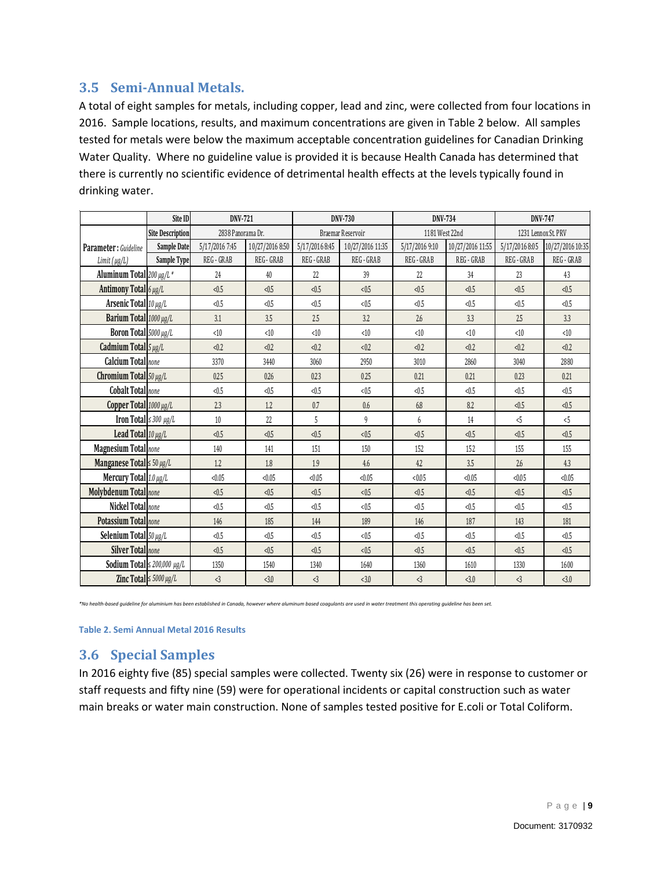#### <span id="page-10-0"></span>**3.5 Semi-Annual Metals.**

A total of eight samples for metals, including copper, lead and zinc, were collected from four locations in 2016. Sample locations, results, and maximum concentrations are given in Table 2 below. All samples tested for metals were below the maximum acceptable concentration guidelines for Canadian Drinking Water Quality. Where no guideline value is provided it is because Health Canada has determined that there is currently no scientific evidence of detrimental health effects at the levels typically found in drinking water.

|                                   | Site ID                                      | DNV-721           |                 |                | DNV-730           | DNV-734          |            | DNV-747             |                                                      |  |                  |                |                  |
|-----------------------------------|----------------------------------------------|-------------------|-----------------|----------------|-------------------|------------------|------------|---------------------|------------------------------------------------------|--|------------------|----------------|------------------|
|                                   | <b>Site Description</b>                      | 2838 Panorama Dr. |                 |                | Braemar Reservoir | 1181 West 22nd   |            | 1231 Lennox St. PRV |                                                      |  |                  |                |                  |
| Parameter : Guideline             | <b>Sample Date</b>                           | 5/17/2016 7:45    | 10/27/2016 8:50 |                |                   |                  |            |                     | 5/17/2016 8:45<br>10/27/2016 11:35<br>5/17/2016 9:10 |  | 10/27/2016 11:55 | 5/17/2016 8:05 | 10/27/2016 10:35 |
| Limit(µg/L)                       | Sample Type                                  | REG - GRAB        | REG - GRAB      | REG - GRAB     | REG - GRAB        | REG - GRAB       | REG - GRAB | REG - GRAB          | REG - GRAB                                           |  |                  |                |                  |
| Aluminum Total 200 µg/L *         |                                              | 24                | 40              | 22             | 39                | 22               | 34         | 23                  | 43                                                   |  |                  |                |                  |
| Antimony Total $6 \mu g/L$        | < 0.5<br>< 0.5                               |                   | < 0.5           | < 0.5          | < 0.5             | < 0.5            | < 0.5      | < 0.5               |                                                      |  |                  |                |                  |
|                                   | Arsenic Total $10 \mu g/L$<br>< 0.5<br>< 0.5 |                   | < 0.5           | < 0.5          | < 0.5             | < 0.5            | < 0.5      | < 0.5               |                                                      |  |                  |                |                  |
| Barium Total 1000 µg/L            |                                              | 3.5<br>3.1        |                 | 2.5            | 3.2               | 2.6              | 3.3        | 2.5                 | 3.3 <sup>2</sup>                                     |  |                  |                |                  |
| Boron Total 5000 µg/L             |                                              | <10<br><10        |                 | < 10           | <10               | <10              | <10        | <10                 | <10                                                  |  |                  |                |                  |
| Cadmium Total $5 \mu g/L$         |                                              | < 0.2<br>< 0.2    |                 | < 0.2          | < 0.2             | < 0.2            | < 0.2      | < 0.2               | < 0.2                                                |  |                  |                |                  |
| <b>Calcium Total</b> none         |                                              | 3440<br>3370      |                 | 3060           | 2950              | 3010             | 2860       | 3040                | 2880                                                 |  |                  |                |                  |
| Chromium Total 50 $\mu$ g/L       |                                              | 0.25<br>0.26      |                 | 0.23           | 0.25              | 0.21             | 0.21       | 0.23                | 0.21                                                 |  |                  |                |                  |
|                                   | Cobalt Total none<br>< 0.5<br>< 0.5          |                   | < 0.5           | < 0.5          | < 0.5             | < 0.5            | < 0.5      | < 0.5               |                                                      |  |                  |                |                  |
| Copper Total 1000 µg/L            | 2.3<br>1.2                                   |                   |                 | 0.7            | 0.6               | 6.8              | 8.2        | < 0.5               | < 0.5                                                |  |                  |                |                  |
| Iron Total $\leq$ 300 $\mu$ g/L   |                                              | 10                | 22              | 5              | 9                 | 6                | 14         | < 5                 | < 5                                                  |  |                  |                |                  |
| Lead Total $10 \mu g/L$           |                                              | < 0.5             | < 0.5           | < 0.5<br>< 0.5 |                   | < 0.5            | < 0.5      | < 0.5               | < 0.5                                                |  |                  |                |                  |
| Magnesium Total none              |                                              | 140               | 141             | 151            | 150               | 152              | 152        | 155                 | 155                                                  |  |                  |                |                  |
| Manganese Total $\leq 50 \mu g/L$ |                                              | 1.2               | 1.8             | 1.9            | 4.6               | 4.2              | 3.5        | 2.6                 | 4.3                                                  |  |                  |                |                  |
| Mercury Total 1.0 µg/L            |                                              | < 0.05            | < 0.05          | < 0.05         | < 0.05            | < 0.05<br>< 0.05 |            | < 0.05              | < 0.05                                               |  |                  |                |                  |
| Molybdenum Total none             |                                              | < 0.5             | < 0.5           | < 0.5          | < 0.5             | < 0.5            | < 0.5      | < 0.5               | < 0.5                                                |  |                  |                |                  |
| Nickel Total none                 |                                              | < 0.5             | < 0.5           | < 0.5          | < 0.5             | < 0.5            | < 0.5      | < 0.5               | < 0.5                                                |  |                  |                |                  |
| <b>Potassium Totallnone</b>       |                                              | 146               | 185             | 144            | 189               | 146              | 187        | 143                 | 181                                                  |  |                  |                |                  |
| Selenium Total $50 \mu g/L$       |                                              | < 0.5             | < 0.5           | < 0.5          | < 0.5             | < 0.5            | < 0.5      | < 0.5               | < 0.5                                                |  |                  |                |                  |
|                                   | Silver Totallnone<br>< 0.5<br>< 0.5          |                   | < 0.5           | < 0.5          | < 0.5             | < 0.5            | < 0.5      | < 0.5               |                                                      |  |                  |                |                  |
|                                   | <b>Sodium Total</b> $\leq$ 200,000 $\mu$ g/L | 1350              | 1540            | 1340           | 1640              | 1360             | 1610       | 1330                | 1600                                                 |  |                  |                |                  |
|                                   | Zinc Total $\leq 5000 \mu g/L$               | $\langle 3$       | <3.0            | $\langle 3$    | <3.0              | $\langle 3$      | <3.0       | $\langle 3$         | <3.0                                                 |  |                  |                |                  |

*\*No health-based guideline for aluminium has been established in Canada, however where aluminum based coagulants are used in water treatment this operating guideline has been set.* 

**Table 2. Semi Annual Metal 2016 Results**

#### <span id="page-10-1"></span>**3.6 Special Samples**

In 2016 eighty five (85) special samples were collected. Twenty six (26) were in response to customer or staff requests and fifty nine (59) were for operational incidents or capital construction such as water main breaks or water main construction. None of samples tested positive for E.coli or Total Coliform.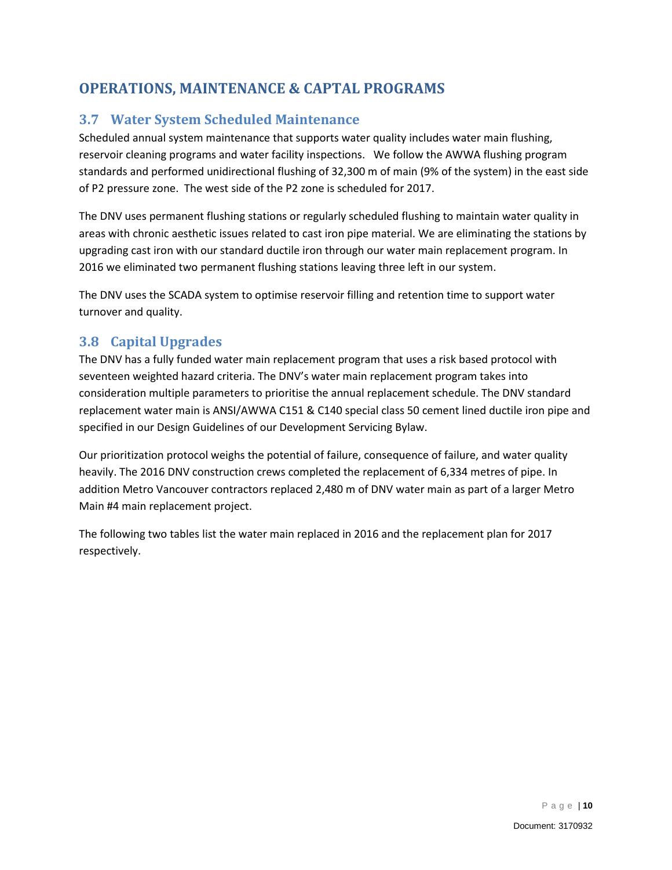## <span id="page-11-0"></span>**OPERATIONS, MAINTENANCE & CAPTAL PROGRAMS**

#### <span id="page-11-1"></span>**3.7 Water System Scheduled Maintenance**

Scheduled annual system maintenance that supports water quality includes water main flushing, reservoir cleaning programs and water facility inspections. We follow the AWWA flushing program standards and performed unidirectional flushing of 32,300 m of main (9% of the system) in the east side of P2 pressure zone. The west side of the P2 zone is scheduled for 2017.

The DNV uses permanent flushing stations or regularly scheduled flushing to maintain water quality in areas with chronic aesthetic issues related to cast iron pipe material. We are eliminating the stations by upgrading cast iron with our standard ductile iron through our water main replacement program. In 2016 we eliminated two permanent flushing stations leaving three left in our system.

The DNV uses the SCADA system to optimise reservoir filling and retention time to support water turnover and quality.

#### <span id="page-11-2"></span>**3.8 Capital Upgrades**

The DNV has a fully funded water main replacement program that uses a risk based protocol with seventeen weighted hazard criteria. The DNV's water main replacement program takes into consideration multiple parameters to prioritise the annual replacement schedule. The DNV standard replacement water main is ANSI/AWWA C151 & C140 special class 50 cement lined ductile iron pipe and specified in our Design Guidelines of our Development Servicing Bylaw.

Our prioritization protocol weighs the potential of failure, consequence of failure, and water quality heavily. The 2016 DNV construction crews completed the replacement of 6,334 metres of pipe. In addition Metro Vancouver contractors replaced 2,480 m of DNV water main as part of a larger Metro Main #4 main replacement project.

The following two tables list the water main replaced in 2016 and the replacement plan for 2017 respectively.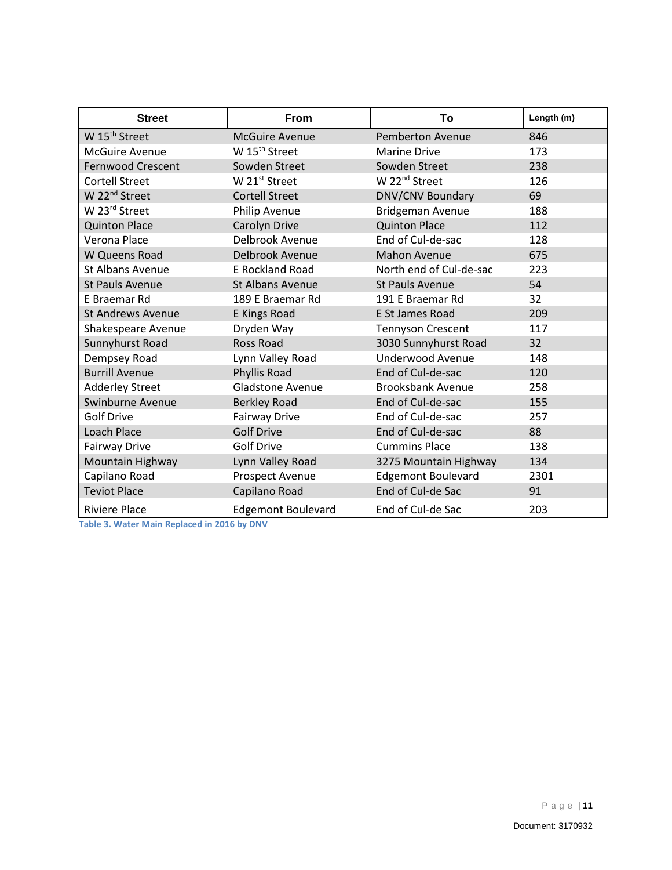| <b>Street</b>             | <b>From</b>               | To                        | Length (m) |
|---------------------------|---------------------------|---------------------------|------------|
| W 15 <sup>th</sup> Street | <b>McGuire Avenue</b>     | <b>Pemberton Avenue</b>   | 846        |
| <b>McGuire Avenue</b>     | W 15 <sup>th</sup> Street | <b>Marine Drive</b>       | 173        |
| <b>Fernwood Crescent</b>  | Sowden Street             | Sowden Street             | 238        |
| <b>Cortell Street</b>     | W 21 <sup>st</sup> Street | W 22 <sup>nd</sup> Street | 126        |
| W 22 <sup>nd</sup> Street | <b>Cortell Street</b>     | DNV/CNV Boundary          | 69         |
| W 23rd Street             | Philip Avenue             | Bridgeman Avenue          | 188        |
| <b>Quinton Place</b>      | Carolyn Drive             | <b>Quinton Place</b>      | 112        |
| Verona Place              | Delbrook Avenue           | End of Cul-de-sac         | 128        |
| W Queens Road             | Delbrook Avenue           | <b>Mahon Avenue</b>       | 675        |
| <b>St Albans Avenue</b>   | <b>E Rockland Road</b>    | North end of Cul-de-sac   | 223        |
| <b>St Pauls Avenue</b>    | St Albans Avenue          | <b>St Pauls Avenue</b>    | 54         |
| E Braemar Rd              | 189 E Braemar Rd          | 191 E Braemar Rd          | 32         |
| <b>St Andrews Avenue</b>  | <b>E Kings Road</b>       | E St James Road           | 209        |
| Shakespeare Avenue        | Dryden Way                | <b>Tennyson Crescent</b>  | 117        |
| Sunnyhurst Road           | <b>Ross Road</b>          | 3030 Sunnyhurst Road      | 32         |
| Dempsey Road              | Lynn Valley Road          | <b>Underwood Avenue</b>   | 148        |
| <b>Burrill Avenue</b>     | Phyllis Road              | End of Cul-de-sac         | 120        |
| <b>Adderley Street</b>    | <b>Gladstone Avenue</b>   | <b>Brooksbank Avenue</b>  | 258        |
| <b>Swinburne Avenue</b>   | <b>Berkley Road</b>       | End of Cul-de-sac         | 155        |
| <b>Golf Drive</b>         | <b>Fairway Drive</b>      | End of Cul-de-sac         | 257        |
| Loach Place               | <b>Golf Drive</b>         | End of Cul-de-sac         | 88         |
| Fairway Drive             | <b>Golf Drive</b>         | <b>Cummins Place</b>      | 138        |
| Mountain Highway          | Lynn Valley Road          | 3275 Mountain Highway     | 134        |
| Capilano Road             | Prospect Avenue           | <b>Edgemont Boulevard</b> | 2301       |
| <b>Teviot Place</b>       | Capilano Road             | End of Cul-de Sac         | 91         |
| <b>Riviere Place</b>      | <b>Edgemont Boulevard</b> | End of Cul-de Sac         | 203        |

**Table 3. Water Main Replaced in 2016 by DNV**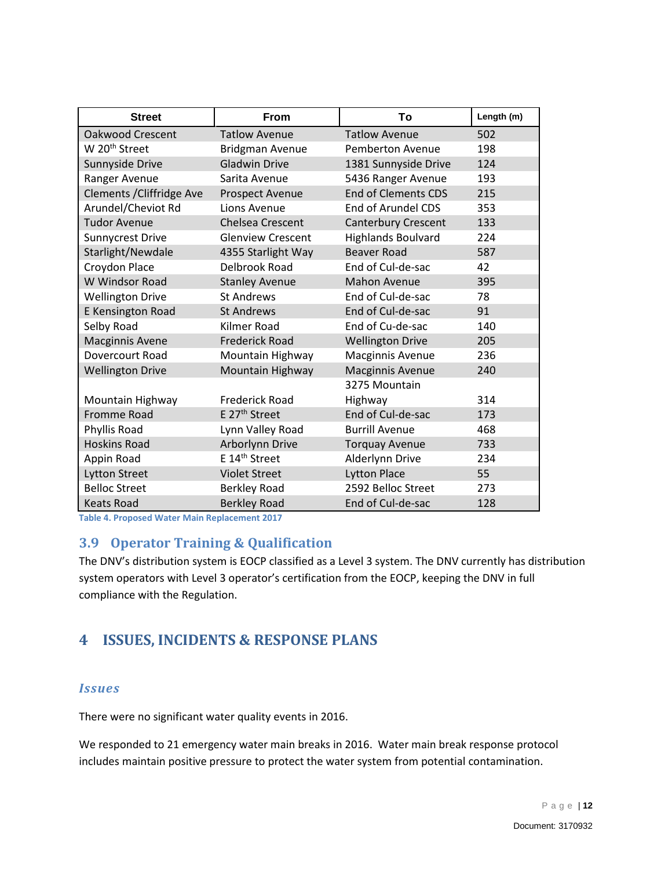| <b>Street</b>             | <b>From</b>               | Τo                         | Length (m) |
|---------------------------|---------------------------|----------------------------|------------|
| <b>Oakwood Crescent</b>   | <b>Tatlow Avenue</b>      | <b>Tatlow Avenue</b>       | 502        |
| W 20 <sup>th</sup> Street | <b>Bridgman Avenue</b>    | Pemberton Avenue           | 198        |
| Sunnyside Drive           | <b>Gladwin Drive</b>      | 1381 Sunnyside Drive       | 124        |
| Ranger Avenue             | Sarita Avenue             | 5436 Ranger Avenue         | 193        |
| Clements / Cliffridge Ave | <b>Prospect Avenue</b>    | <b>End of Clements CDS</b> | 215        |
| Arundel/Cheviot Rd        | Lions Avenue              | End of Arundel CDS         | 353        |
| <b>Tudor Avenue</b>       | <b>Chelsea Crescent</b>   | <b>Canterbury Crescent</b> | 133        |
| <b>Sunnycrest Drive</b>   | <b>Glenview Crescent</b>  | Highlands Boulvard         | 224        |
| Starlight/Newdale         | 4355 Starlight Way        | <b>Beaver Road</b>         | 587        |
| Croydon Place             | Delbrook Road             | End of Cul-de-sac          | 42         |
| W Windsor Road            | <b>Stanley Avenue</b>     | <b>Mahon Avenue</b>        | 395        |
| <b>Wellington Drive</b>   | <b>St Andrews</b>         | End of Cul-de-sac          | 78         |
| <b>E Kensington Road</b>  | <b>St Andrews</b>         | End of Cul-de-sac          | 91         |
| Selby Road                | Kilmer Road               | End of Cu-de-sac           | 140        |
| <b>Macginnis Avene</b>    | <b>Frederick Road</b>     | <b>Wellington Drive</b>    | 205        |
| Dovercourt Road           | Mountain Highway          | Macginnis Avenue           | 236        |
| <b>Wellington Drive</b>   | Mountain Highway          | <b>Macginnis Avenue</b>    | 240        |
|                           |                           | 3275 Mountain              |            |
| Mountain Highway          | Frederick Road            | Highway                    | 314        |
| <b>Fromme Road</b>        | E 27 <sup>th</sup> Street | End of Cul-de-sac          | 173        |
| Phyllis Road              | Lynn Valley Road          | <b>Burrill Avenue</b>      | 468        |
| <b>Hoskins Road</b>       | Arborlynn Drive           | <b>Torquay Avenue</b>      | 733        |
| Appin Road                | E 14 <sup>th</sup> Street | Alderlynn Drive            | 234        |
| <b>Lytton Street</b>      | <b>Violet Street</b>      | <b>Lytton Place</b>        | 55         |
| <b>Belloc Street</b>      | <b>Berkley Road</b>       | 2592 Belloc Street         | 273        |
| <b>Keats Road</b>         | <b>Berkley Road</b>       | End of Cul-de-sac          | 128        |

**Table 4. Proposed Water Main Replacement 2017**

#### <span id="page-13-0"></span>**3.9 Operator Training & Qualification**

The DNV's distribution system is EOCP classified as a Level 3 system. The DNV currently has distribution system operators with Level 3 operator's certification from the EOCP, keeping the DNV in full compliance with the Regulation.

#### <span id="page-13-1"></span>**4 ISSUES, INCIDENTS & RESPONSE PLANS**

#### *Issues*

There were no significant water quality events in 2016.

We responded to 21 emergency water main breaks in 2016. Water main break response protocol includes maintain positive pressure to protect the water system from potential contamination.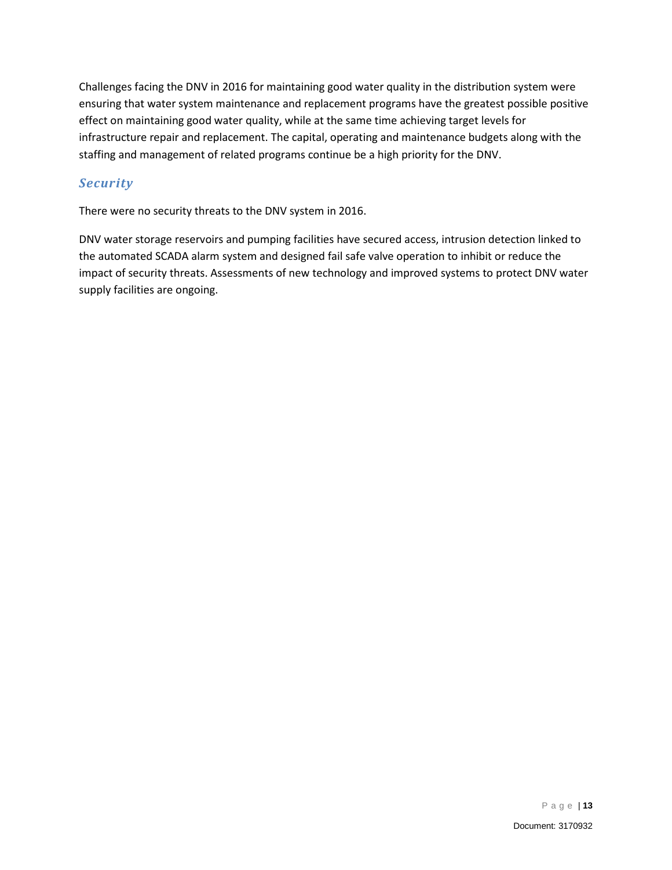Challenges facing the DNV in 2016 for maintaining good water quality in the distribution system were ensuring that water system maintenance and replacement programs have the greatest possible positive effect on maintaining good water quality, while at the same time achieving target levels for infrastructure repair and replacement. The capital, operating and maintenance budgets along with the staffing and management of related programs continue be a high priority for the DNV.

#### *Security*

There were no security threats to the DNV system in 2016.

DNV water storage reservoirs and pumping facilities have secured access, intrusion detection linked to the automated SCADA alarm system and designed fail safe valve operation to inhibit or reduce the impact of security threats. Assessments of new technology and improved systems to protect DNV water supply facilities are ongoing.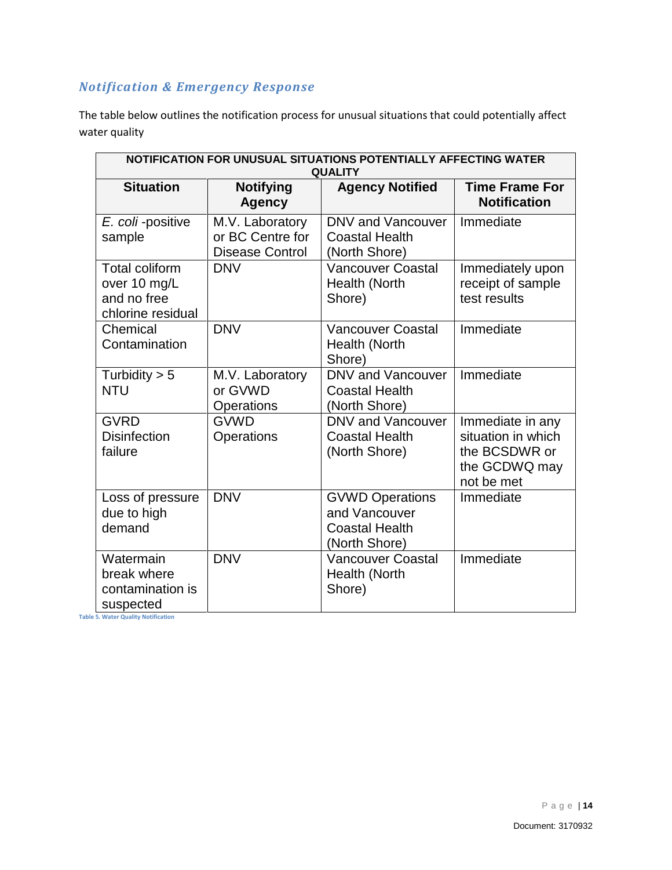## *Notification & Emergency Response*

The table below outlines the notification process for unusual situations that could potentially affect water quality

| NOTIFICATION FOR UNUSUAL SITUATIONS POTENTIALLY AFFECTING WATER<br><b>QUALITY</b>                       |                                                               |                                                                                   |                                                                                        |  |  |  |  |  |  |  |  |  |  |
|---------------------------------------------------------------------------------------------------------|---------------------------------------------------------------|-----------------------------------------------------------------------------------|----------------------------------------------------------------------------------------|--|--|--|--|--|--|--|--|--|--|
| <b>Situation</b>                                                                                        | <b>Notifying</b><br><b>Agency</b>                             | <b>Agency Notified</b>                                                            | <b>Time Frame For</b><br><b>Notification</b>                                           |  |  |  |  |  |  |  |  |  |  |
| E. coli-positive<br>sample                                                                              | M.V. Laboratory<br>or BC Centre for<br><b>Disease Control</b> | DNV and Vancouver<br><b>Coastal Health</b><br>(North Shore)                       | Immediate                                                                              |  |  |  |  |  |  |  |  |  |  |
| <b>Total coliform</b><br>over 10 mg/L<br>and no free<br>chlorine residual                               | <b>DNV</b>                                                    | <b>Vancouver Coastal</b><br>Health (North<br>Shore)                               | Immediately upon<br>receipt of sample<br>test results                                  |  |  |  |  |  |  |  |  |  |  |
| Chemical<br>Contamination                                                                               | <b>DNV</b>                                                    | <b>Vancouver Coastal</b><br>Health (North<br>Shore)                               | Immediate                                                                              |  |  |  |  |  |  |  |  |  |  |
| Turbidity $> 5$<br><b>NTU</b>                                                                           | M.V. Laboratory<br>or GVWD<br>Operations                      | DNV and Vancouver<br><b>Coastal Health</b><br>(North Shore)                       | Immediate                                                                              |  |  |  |  |  |  |  |  |  |  |
| <b>GVRD</b><br><b>Disinfection</b><br>failure                                                           | <b>GVWD</b><br>Operations                                     | DNV and Vancouver<br><b>Coastal Health</b><br>(North Shore)                       | Immediate in any<br>situation in which<br>the BCSDWR or<br>the GCDWQ may<br>not be met |  |  |  |  |  |  |  |  |  |  |
| Loss of pressure<br>due to high<br>demand                                                               | <b>DNV</b>                                                    | <b>GVWD Operations</b><br>and Vancouver<br><b>Coastal Health</b><br>(North Shore) | Immediate                                                                              |  |  |  |  |  |  |  |  |  |  |
| Watermain<br>break where<br>contamination is<br>suspected<br><b>Table 5. Water Quality Notification</b> | <b>DNV</b>                                                    | <b>Vancouver Coastal</b><br>Health (North<br>Shore)                               | Immediate                                                                              |  |  |  |  |  |  |  |  |  |  |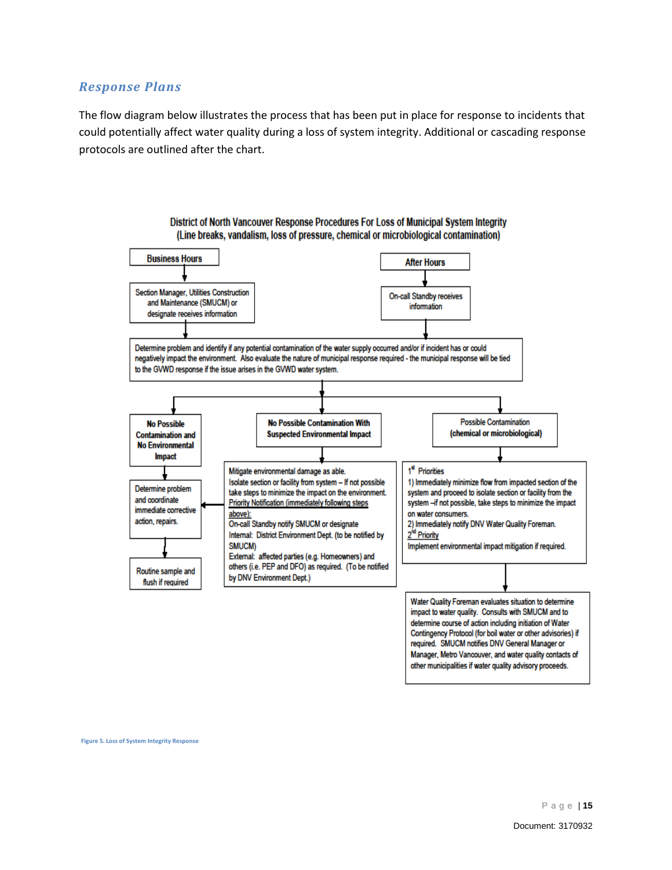#### *Response Plans*

The flow diagram below illustrates the process that has been put in place for response to incidents that could potentially affect water quality during a loss of system integrity. Additional or cascading response protocols are outlined after the chart.



**Figure 5. Loss of System Integrity Response**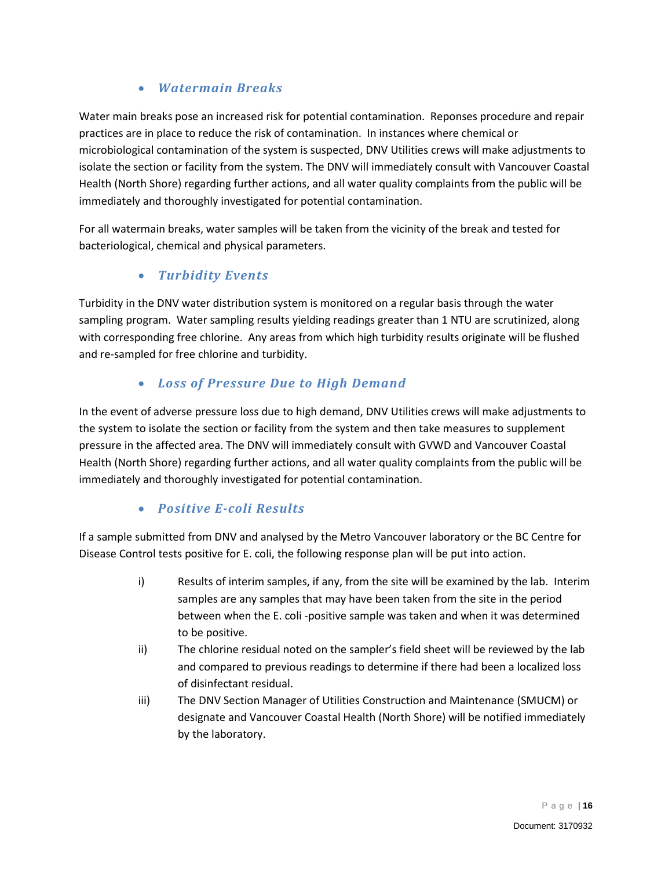#### • *Watermain Breaks*

Water main breaks pose an increased risk for potential contamination. Reponses procedure and repair practices are in place to reduce the risk of contamination. In instances where chemical or microbiological contamination of the system is suspected, DNV Utilities crews will make adjustments to isolate the section or facility from the system. The DNV will immediately consult with Vancouver Coastal Health (North Shore) regarding further actions, and all water quality complaints from the public will be immediately and thoroughly investigated for potential contamination.

For all watermain breaks, water samples will be taken from the vicinity of the break and tested for bacteriological, chemical and physical parameters.

#### • *Turbidity Events*

Turbidity in the DNV water distribution system is monitored on a regular basis through the water sampling program. Water sampling results yielding readings greater than 1 NTU are scrutinized, along with corresponding free chlorine. Any areas from which high turbidity results originate will be flushed and re-sampled for free chlorine and turbidity.

#### • *Loss of Pressure Due to High Demand*

In the event of adverse pressure loss due to high demand, DNV Utilities crews will make adjustments to the system to isolate the section or facility from the system and then take measures to supplement pressure in the affected area. The DNV will immediately consult with GVWD and Vancouver Coastal Health (North Shore) regarding further actions, and all water quality complaints from the public will be immediately and thoroughly investigated for potential contamination.

#### • *Positive E-coli Results*

If a sample submitted from DNV and analysed by the Metro Vancouver laboratory or the BC Centre for Disease Control tests positive for E. coli, the following response plan will be put into action.

- i) Results of interim samples, if any, from the site will be examined by the lab. Interim samples are any samples that may have been taken from the site in the period between when the E. coli -positive sample was taken and when it was determined to be positive.
- ii) The chlorine residual noted on the sampler's field sheet will be reviewed by the lab and compared to previous readings to determine if there had been a localized loss of disinfectant residual.
- iii) The DNV Section Manager of Utilities Construction and Maintenance (SMUCM) or designate and Vancouver Coastal Health (North Shore) will be notified immediately by the laboratory.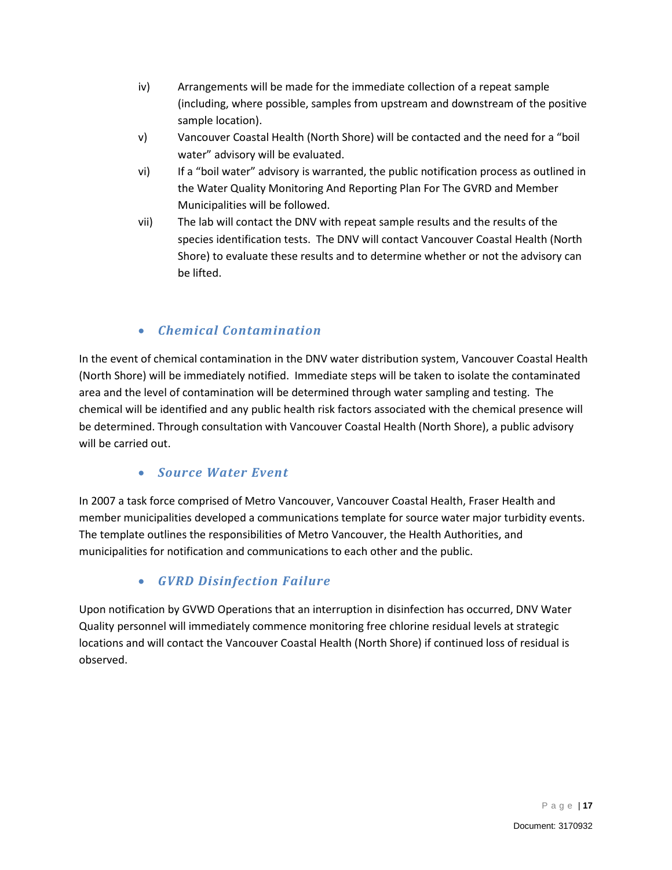- iv) Arrangements will be made for the immediate collection of a repeat sample (including, where possible, samples from upstream and downstream of the positive sample location).
- v) Vancouver Coastal Health (North Shore) will be contacted and the need for a "boil water" advisory will be evaluated.
- vi) If a "boil water" advisory is warranted, the public notification process as outlined in the Water Quality Monitoring And Reporting Plan For The GVRD and Member Municipalities will be followed.
- vii) The lab will contact the DNV with repeat sample results and the results of the species identification tests. The DNV will contact Vancouver Coastal Health (North Shore) to evaluate these results and to determine whether or not the advisory can be lifted.

#### • *Chemical Contamination*

In the event of chemical contamination in the DNV water distribution system, Vancouver Coastal Health (North Shore) will be immediately notified. Immediate steps will be taken to isolate the contaminated area and the level of contamination will be determined through water sampling and testing. The chemical will be identified and any public health risk factors associated with the chemical presence will be determined. Through consultation with Vancouver Coastal Health (North Shore), a public advisory will be carried out.

#### • *Source Water Event*

In 2007 a task force comprised of Metro Vancouver, Vancouver Coastal Health, Fraser Health and member municipalities developed a communications template for source water major turbidity events. The template outlines the responsibilities of Metro Vancouver, the Health Authorities, and municipalities for notification and communications to each other and the public.

#### • *GVRD Disinfection Failure*

Upon notification by GVWD Operations that an interruption in disinfection has occurred, DNV Water Quality personnel will immediately commence monitoring free chlorine residual levels at strategic locations and will contact the Vancouver Coastal Health (North Shore) if continued loss of residual is observed.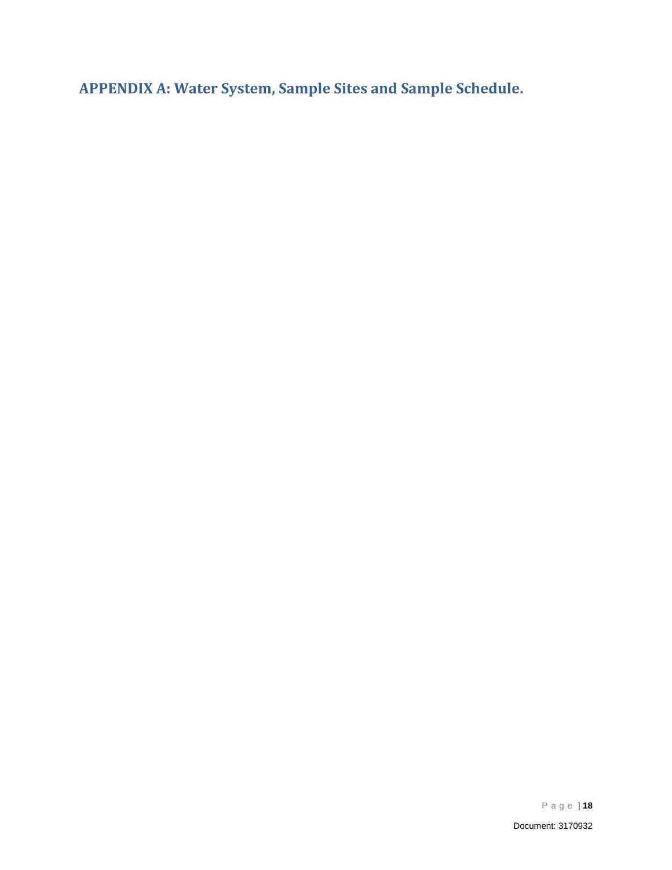<span id="page-19-0"></span>**APPENDIX A: Water System, Sample Sites and Sample Schedule.**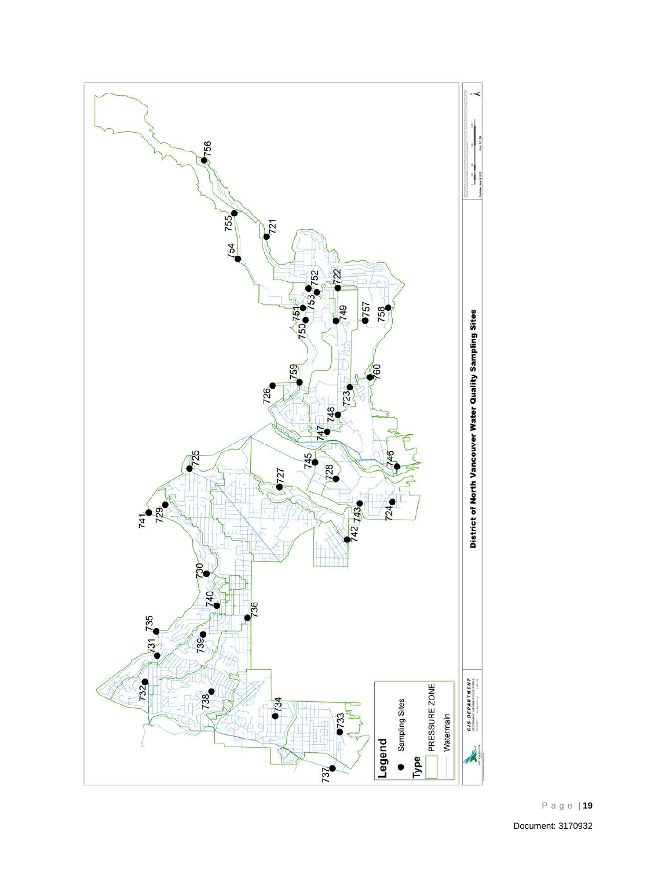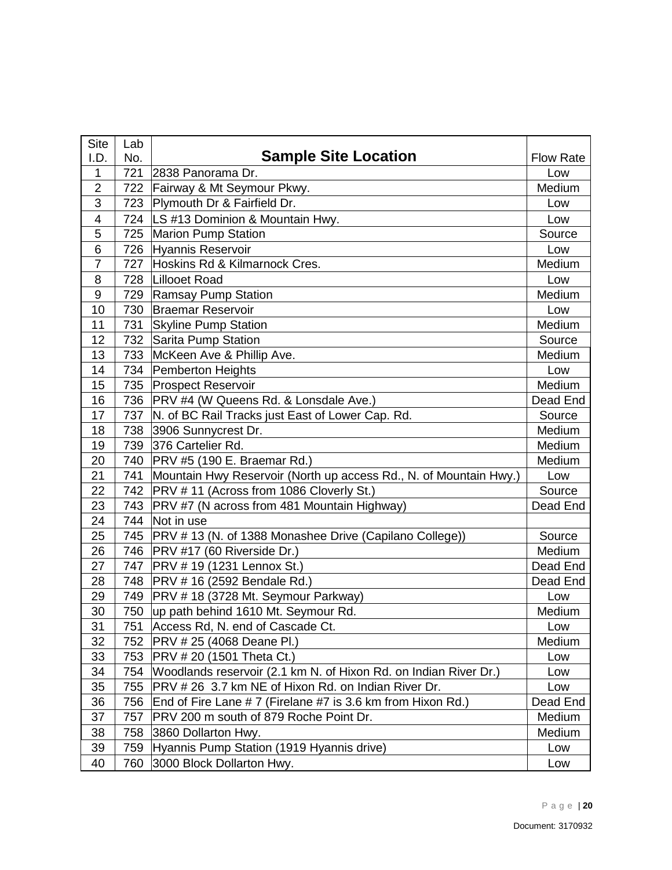| <b>Site</b>    | Lab |                                                                   |                  |
|----------------|-----|-------------------------------------------------------------------|------------------|
| I.D.           | No. | <b>Sample Site Location</b>                                       | <b>Flow Rate</b> |
| 1              | 721 | 2838 Panorama Dr.                                                 | Low              |
| $\overline{2}$ | 722 | Fairway & Mt Seymour Pkwy.                                        | Medium           |
| 3              | 723 | Plymouth Dr & Fairfield Dr.                                       | Low              |
| 4              |     | 724   LS #13 Dominion & Mountain Hwy.                             | Low              |
| 5              |     | 725 Marion Pump Station                                           | Source           |
| 6              | 726 | Hyannis Reservoir                                                 | Low              |
| $\overline{7}$ | 727 | Hoskins Rd & Kilmarnock Cres.                                     | Medium           |
| 8              |     | 728   Lillooet Road                                               | Low              |
| 9              | 729 | Ramsay Pump Station                                               | Medium           |
| 10             | 730 | <b>Braemar Reservoir</b>                                          | Low              |
| 11             | 731 | <b>Skyline Pump Station</b>                                       | Medium           |
| 12             | 732 | Sarita Pump Station                                               | Source           |
| 13             | 733 | McKeen Ave & Phillip Ave.                                         | Medium           |
| 14             | 734 | Pemberton Heights                                                 | Low              |
| 15             | 735 | <b>Prospect Reservoir</b>                                         | Medium           |
| 16             | 736 | PRV #4 (W Queens Rd. & Lonsdale Ave.)                             | Dead End         |
| 17             | 737 | N. of BC Rail Tracks just East of Lower Cap. Rd.                  | Source           |
| 18             | 738 | 3906 Sunnycrest Dr.                                               | Medium           |
| 19             | 739 | 376 Cartelier Rd.                                                 | Medium           |
| 20             |     | 740   PRV #5 (190 E. Braemar Rd.)                                 | Medium           |
| 21             | 741 | Mountain Hwy Reservoir (North up access Rd., N. of Mountain Hwy.) | Low              |
| 22             |     | 742   PRV # 11 (Across from 1086 Cloverly St.)                    | Source           |
| 23             |     | 743   PRV #7 (N across from 481 Mountain Highway)                 | Dead End         |
| 24             | 744 | Not in use                                                        |                  |
| 25             |     | 745   PRV # 13 (N. of 1388 Monashee Drive (Capilano College))     | Source           |
| 26             |     | 746   PRV #17 (60 Riverside Dr.)                                  | Medium           |
| 27             | 747 | <b>PRV #19 (1231 Lennox St.)</b>                                  | Dead End         |
| 28             | 748 | <b>PRV #16 (2592 Bendale Rd.)</b>                                 | Dead End         |
| 29             | 749 | PRV #18 (3728 Mt. Seymour Parkway)                                | Low              |
| 30             |     | 750  up path behind 1610 Mt. Seymour Rd.                          | Medium           |
| 31             | 751 | Access Rd, N. end of Cascade Ct.                                  | Low              |
| 32             | 752 | <b>PRV #25 (4068 Deane Pl.)</b>                                   | Medium           |
| 33             | 753 | <b>PRV #20 (1501 Theta Ct.)</b>                                   | Low              |
| 34             | 754 | Woodlands reservoir (2.1 km N. of Hixon Rd. on Indian River Dr.)  | Low              |
| 35             | 755 | PRV # 26 3.7 km NE of Hixon Rd. on Indian River Dr.               | Low              |
| 36             | 756 | End of Fire Lane # 7 (Firelane #7 is 3.6 km from Hixon Rd.)       | Dead End         |
| 37             | 757 | PRV 200 m south of 879 Roche Point Dr.                            | Medium           |
| 38             | 758 | 3860 Dollarton Hwy.                                               | Medium           |
| 39             | 759 | Hyannis Pump Station (1919 Hyannis drive)                         | Low              |
| 40             | 760 | 3000 Block Dollarton Hwy.                                         | Low              |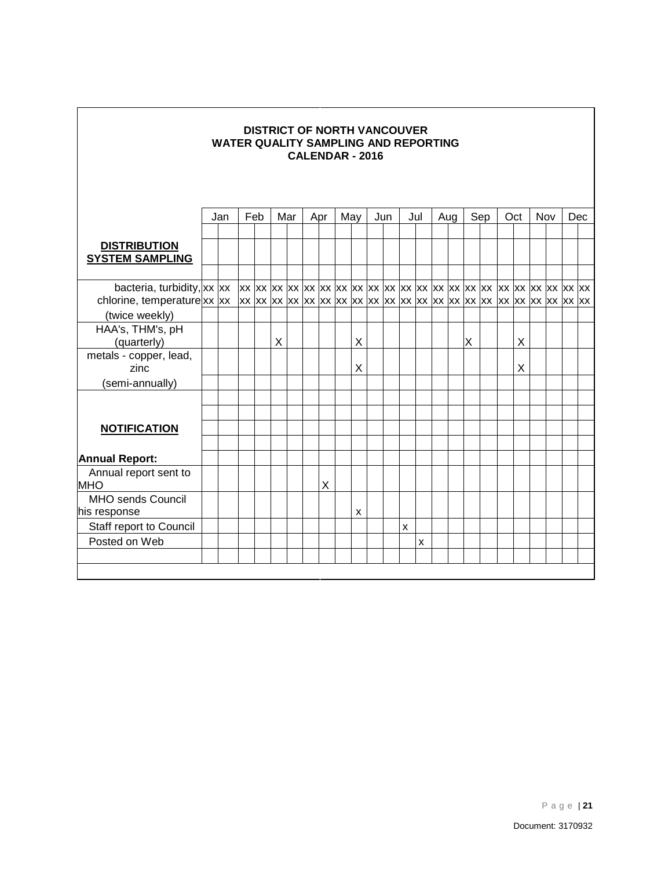| <b>DISTRICT OF NORTH VANCOUVER</b><br><b>WATER QUALITY SAMPLING AND REPORTING</b><br><b>CALENDAR - 2016</b> |  |            |  |  |     |  |     |   |  |     |  |     |                    |     |     |   |     |     |     |  |            |  |  |
|-------------------------------------------------------------------------------------------------------------|--|------------|--|--|-----|--|-----|---|--|-----|--|-----|--------------------|-----|-----|---|-----|-----|-----|--|------------|--|--|
|                                                                                                             |  | Feb<br>Jan |  |  | Mar |  | Apr |   |  | May |  | Jun |                    | Jul | Aug |   | Sep | Oct | Nov |  | <b>Dec</b> |  |  |
| <b>DISTRIBUTION</b><br><b>SYSTEM SAMPLING</b>                                                               |  |            |  |  |     |  |     |   |  |     |  |     |                    |     |     |   |     |     |     |  |            |  |  |
| (twice weekly)                                                                                              |  |            |  |  |     |  |     |   |  |     |  |     |                    |     |     |   |     |     |     |  |            |  |  |
| HAA's, THM's, pH<br>(quarterly)                                                                             |  |            |  |  | X   |  |     |   |  | X   |  |     |                    |     |     | X |     | X   |     |  |            |  |  |
| metals - copper, lead,<br>zinc                                                                              |  |            |  |  |     |  |     |   |  | X   |  |     |                    |     |     |   |     | Χ   |     |  |            |  |  |
| (semi-annually)                                                                                             |  |            |  |  |     |  |     |   |  |     |  |     |                    |     |     |   |     |     |     |  |            |  |  |
|                                                                                                             |  |            |  |  |     |  |     |   |  |     |  |     |                    |     |     |   |     |     |     |  |            |  |  |
| <b>NOTIFICATION</b>                                                                                         |  |            |  |  |     |  |     |   |  |     |  |     |                    |     |     |   |     |     |     |  |            |  |  |
|                                                                                                             |  |            |  |  |     |  |     |   |  |     |  |     |                    |     |     |   |     |     |     |  |            |  |  |
| <b>Annual Report:</b>                                                                                       |  |            |  |  |     |  |     |   |  |     |  |     |                    |     |     |   |     |     |     |  |            |  |  |
| Annual report sent to<br><b>MHO</b>                                                                         |  |            |  |  |     |  |     | X |  |     |  |     |                    |     |     |   |     |     |     |  |            |  |  |
| <b>MHO sends Council</b>                                                                                    |  |            |  |  |     |  |     |   |  |     |  |     |                    |     |     |   |     |     |     |  |            |  |  |
| his response                                                                                                |  |            |  |  |     |  |     |   |  | X   |  |     |                    |     |     |   |     |     |     |  |            |  |  |
| Staff report to Council                                                                                     |  |            |  |  |     |  |     |   |  |     |  |     | $\pmb{\mathsf{X}}$ |     |     |   |     |     |     |  |            |  |  |
| Posted on Web                                                                                               |  |            |  |  |     |  |     |   |  |     |  |     |                    | x   |     |   |     |     |     |  |            |  |  |
|                                                                                                             |  |            |  |  |     |  |     |   |  |     |  |     |                    |     |     |   |     |     |     |  |            |  |  |

Г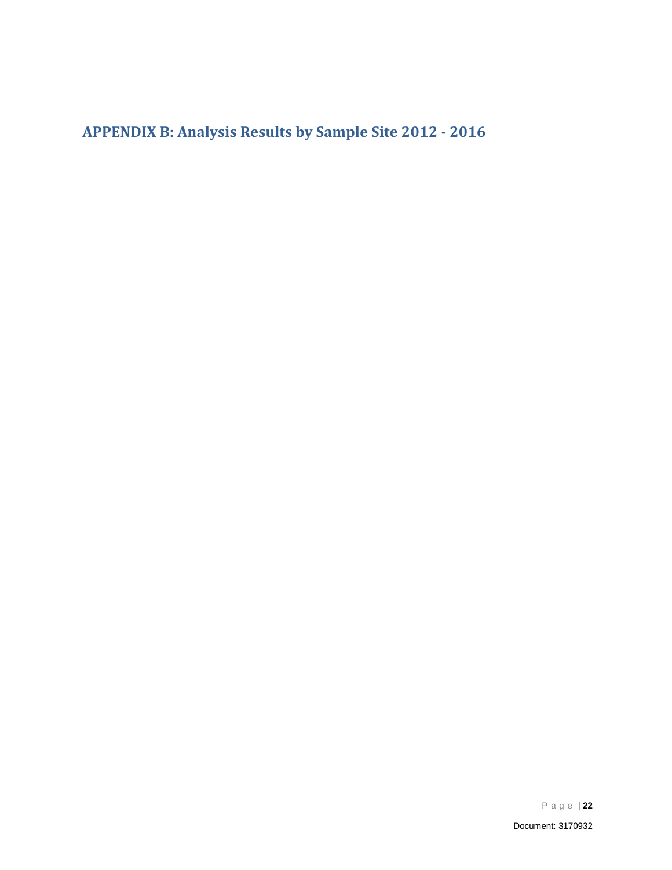<span id="page-23-0"></span>**APPENDIX B: Analysis Results by Sample Site 2012 - 2016**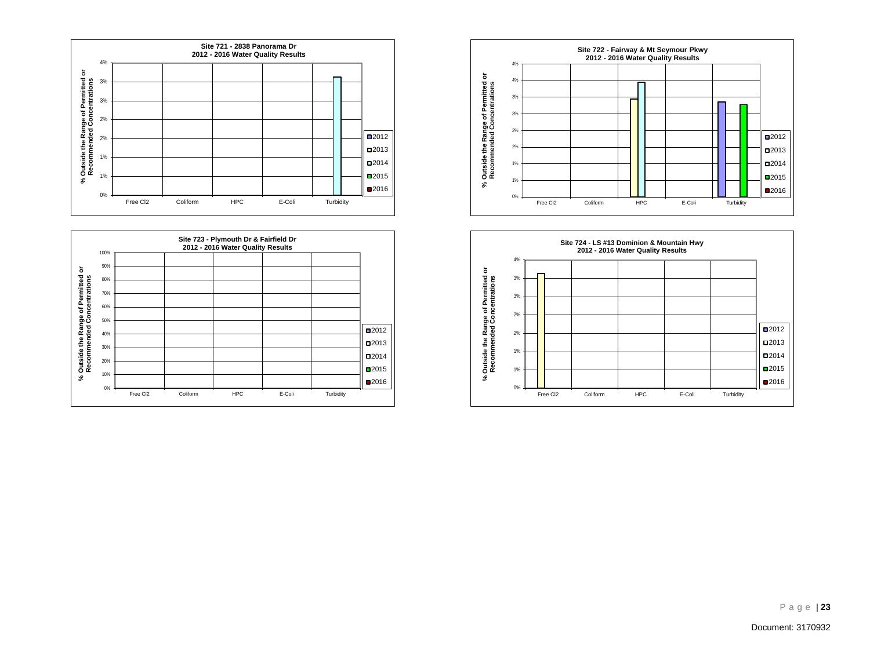





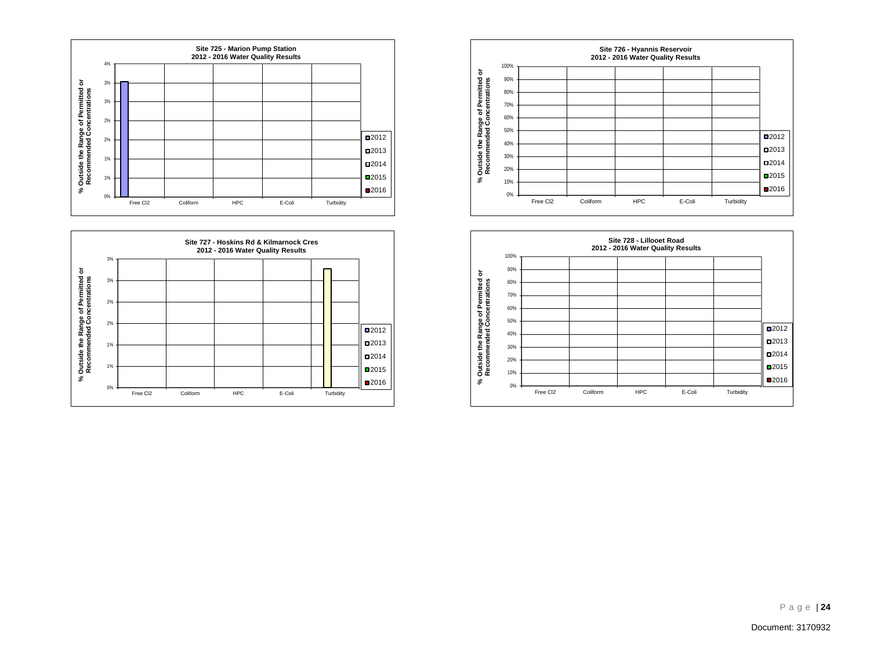





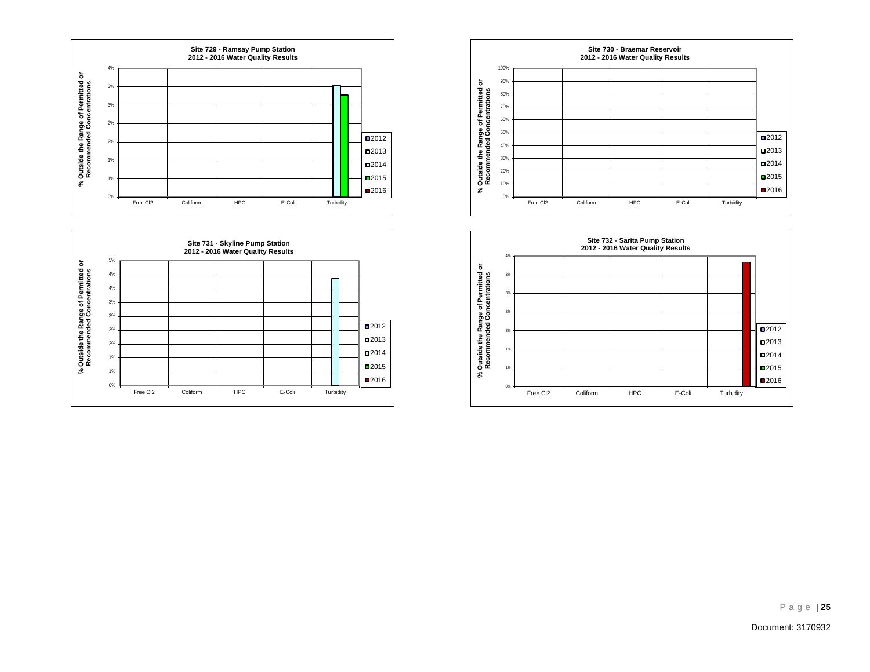





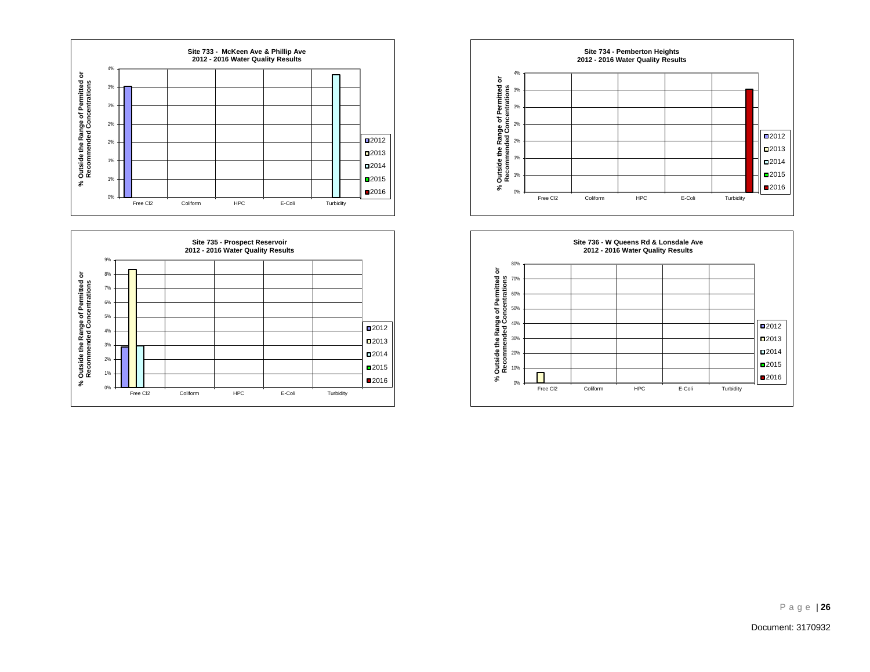





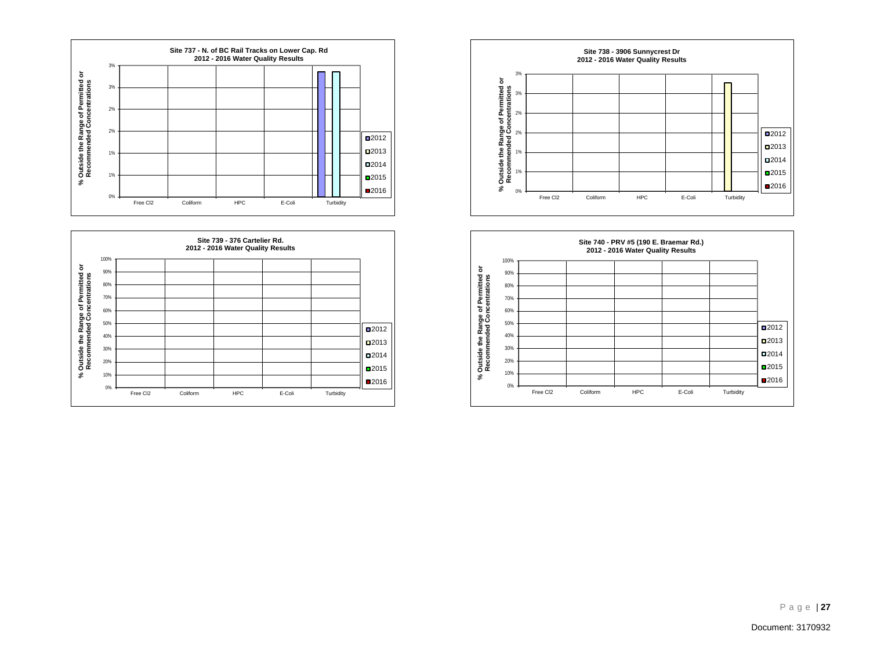





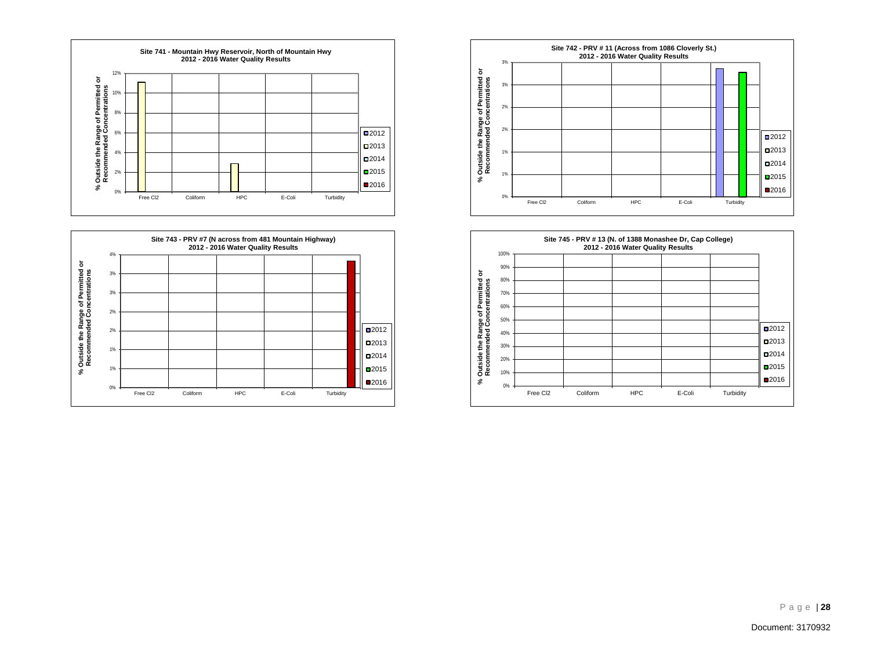





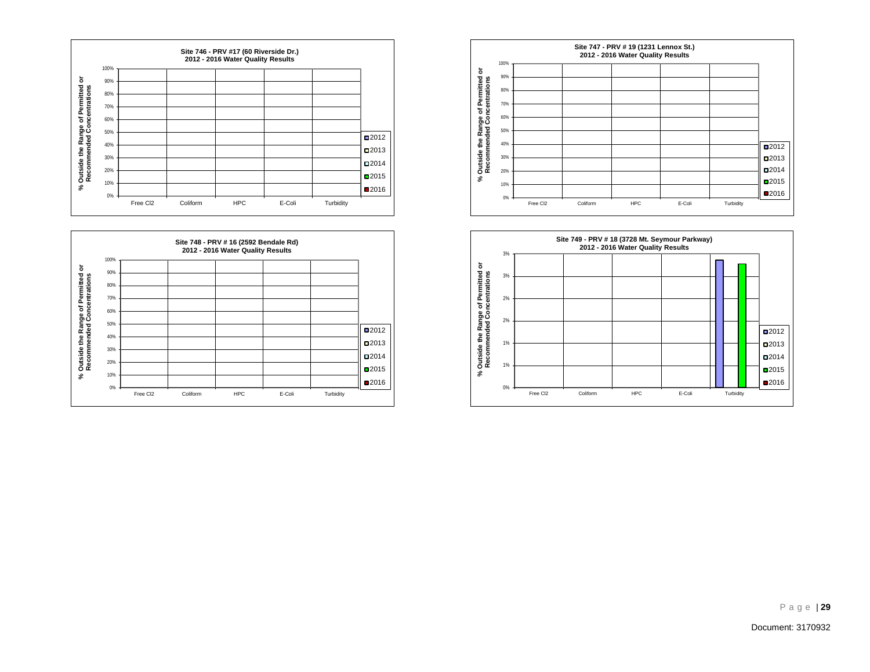





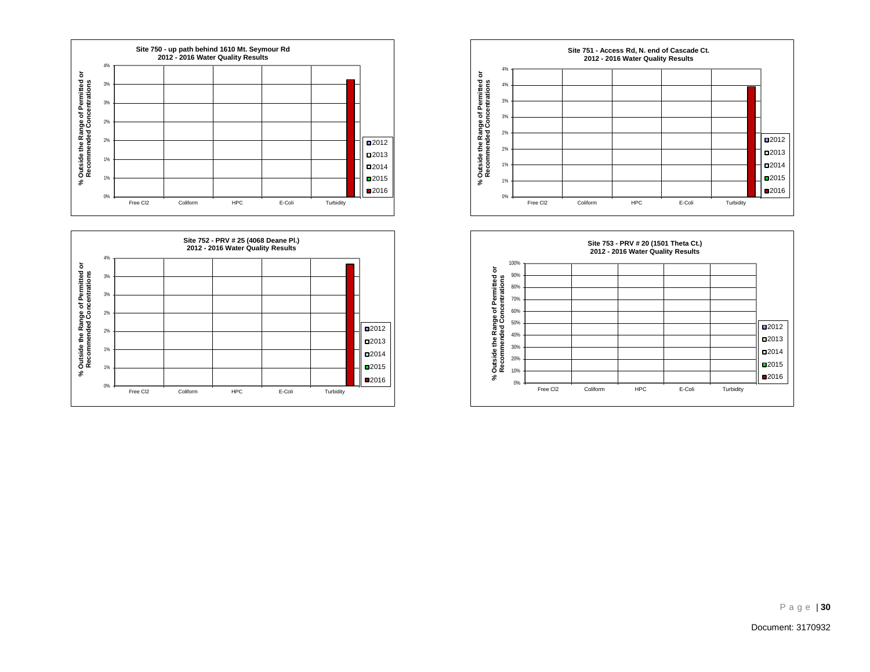





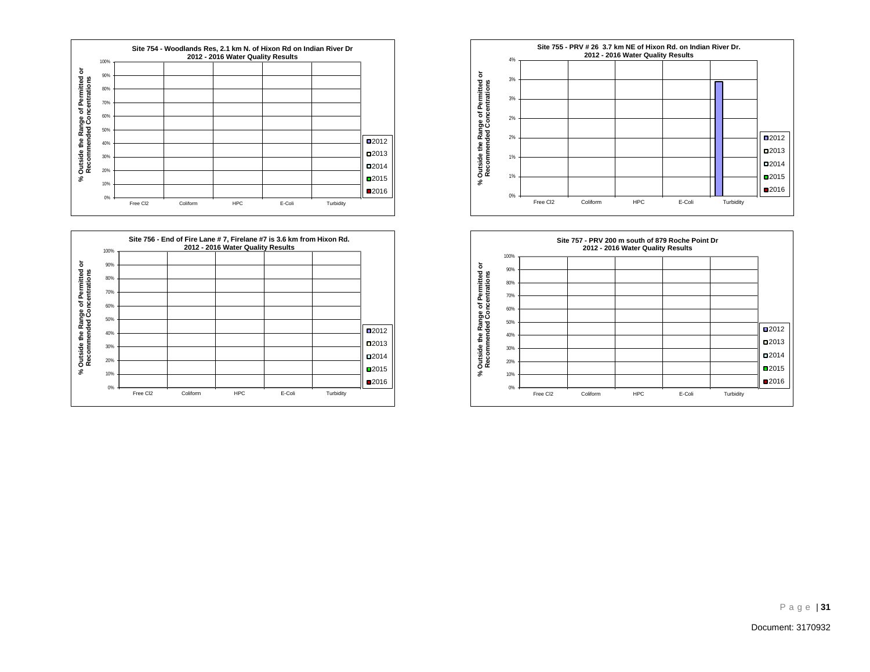





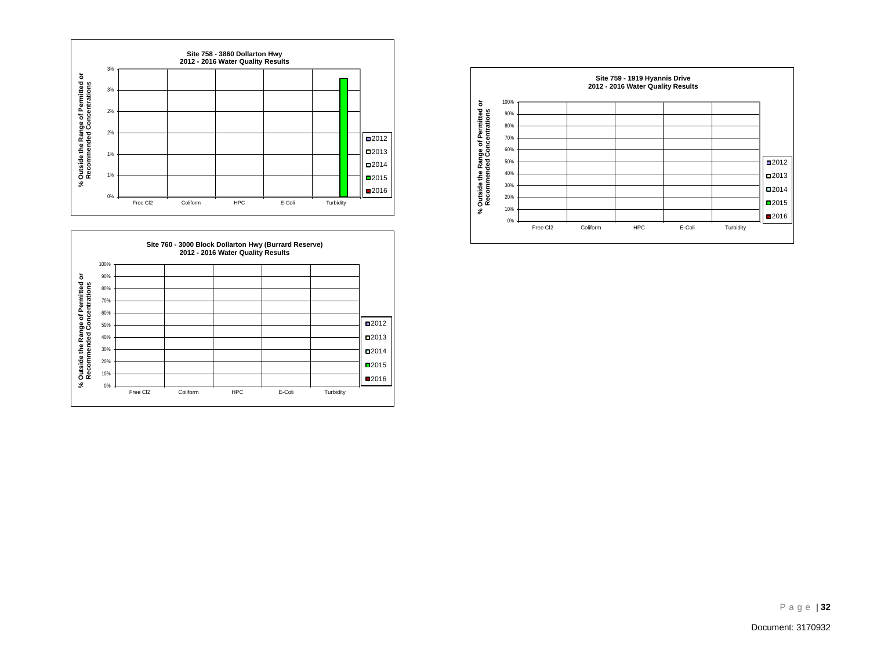